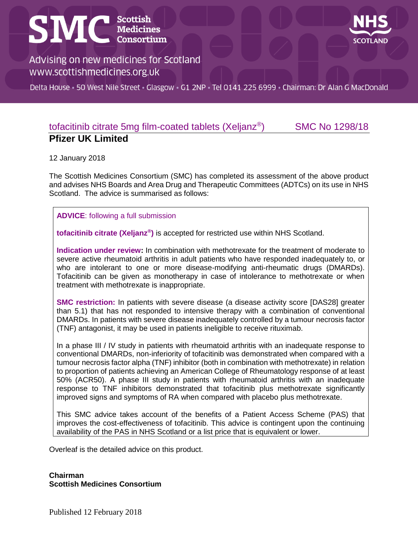# **SMC** Scottish



Advising on new medicines for Scotland www.scottishmedicines.org.uk

Delta House · 50 West Nile Street · Glasgow · G1 2NP · Tel 0141 225 6999 · Chairman: Dr Alan G MacDonald

#### tofacitinib citrate 5mg film-coated tablets (Xeljanz® ) SMC No 1298/18 **Pfizer UK Limited**

12 January 2018

The Scottish Medicines Consortium (SMC) has completed its assessment of the above product and advises NHS Boards and Area Drug and Therapeutic Committees (ADTCs) on its use in NHS Scotland. The advice is summarised as follows:

**ADVICE**: following a full submission

**tofacitinib citrate (Xeljanz® )** is accepted for restricted use within NHS Scotland.

**Indication under review:** In combination with methotrexate for the treatment of moderate to severe active rheumatoid arthritis in adult patients who have responded inadequately to, or who are intolerant to one or more disease-modifying anti-rheumatic drugs (DMARDs). Tofacitinib can be given as monotherapy in case of intolerance to methotrexate or when treatment with methotrexate is inappropriate.

**SMC restriction:** In patients with severe disease (a disease activity score [DAS28] greater than 5.1) that has not responded to intensive therapy with a combination of conventional DMARDs. In patients with severe disease inadequately controlled by a tumour necrosis factor (TNF) antagonist, it may be used in patients ineligible to receive rituximab.

In a phase III / IV study in patients with rheumatoid arthritis with an inadequate response to conventional DMARDs, non-inferiority of tofacitinib was demonstrated when compared with a tumour necrosis factor alpha (TNF) inhibitor (both in combination with methotrexate) in relation to proportion of patients achieving an American College of Rheumatology response of at least 50% (ACR50). A phase III study in patients with rheumatoid arthritis with an inadequate response to TNF inhibitors demonstrated that tofacitinib plus methotrexate significantly improved signs and symptoms of RA when compared with placebo plus methotrexate.

This SMC advice takes account of the benefits of a Patient Access Scheme (PAS) that improves the cost-effectiveness of tofacitinib. This advice is contingent upon the continuing availability of the PAS in NHS Scotland or a list price that is equivalent or lower.

Overleaf is the detailed advice on this product.

**Chairman Scottish Medicines Consortium**

Published 12 February 2018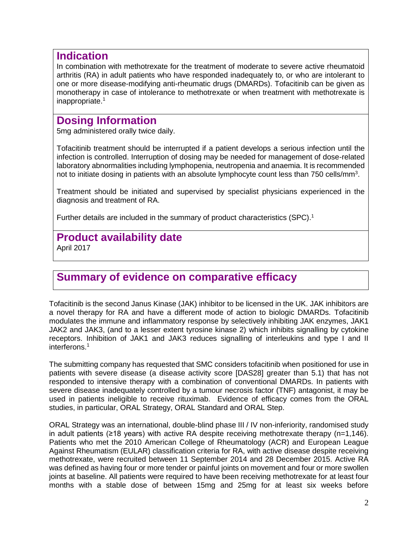#### **Indication**

In combination with methotrexate for the treatment of moderate to severe active rheumatoid arthritis (RA) in adult patients who have responded inadequately to, or who are intolerant to one or more disease-modifying anti-rheumatic drugs (DMARDs). Tofacitinib can be given as monotherapy in case of intolerance to methotrexate or when treatment with methotrexate is inappropriate.<sup>1</sup>

## **Dosing Information**

5mg administered orally twice daily.

Tofacitinib treatment should be interrupted if a patient develops a serious infection until the infection is controlled. Interruption of dosing may be needed for management of dose-related laboratory abnormalities including lymphopenia, neutropenia and anaemia. It is recommended not to initiate dosing in patients with an absolute lymphocyte count less than 750 cells/mm<sup>3</sup>.

Treatment should be initiated and supervised by specialist physicians experienced in the diagnosis and treatment of RA.

Further details are included in the summary of product characteristics (SPC).<sup>1</sup>

## **Product availability date**

April 2017

## **Summary of evidence on comparative efficacy**

Tofacitinib is the second Janus Kinase (JAK) inhibitor to be licensed in the UK. JAK inhibitors are a novel therapy for RA and have a different mode of action to biologic DMARDs. Tofacitinib modulates the immune and inflammatory response by selectively inhibiting JAK enzymes, JAK1 JAK2 and JAK3, (and to a lesser extent tyrosine kinase 2) which inhibits signalling by cytokine receptors. Inhibition of JAK1 and JAK3 reduces signalling of interleukins and type I and II interferons.<sup>1</sup>

The submitting company has requested that SMC considers tofacitinib when positioned for use in patients with severe disease (a disease activity score [DAS28] greater than 5.1) that has not responded to intensive therapy with a combination of conventional DMARDs. In patients with severe disease inadequately controlled by a tumour necrosis factor (TNF) antagonist, it may be used in patients ineligible to receive rituximab. Evidence of efficacy comes from the ORAL studies, in particular, ORAL Strategy, ORAL Standard and ORAL Step.

ORAL Strategy was an international, double-blind phase III / IV non-inferiority, randomised study in adult patients (≥18 years) with active RA despite receiving methotrexate therapy (n=1,146). Patients who met the 2010 American College of Rheumatology (ACR) and European League Against Rheumatism (EULAR) classification criteria for RA, with active disease despite receiving methotrexate, were recruited between 11 September 2014 and 28 December 2015. Active RA was defined as having four or more tender or painful joints on movement and four or more swollen joints at baseline. All patients were required to have been receiving methotrexate for at least four months with a stable dose of between 15mg and 25mg for at least six weeks before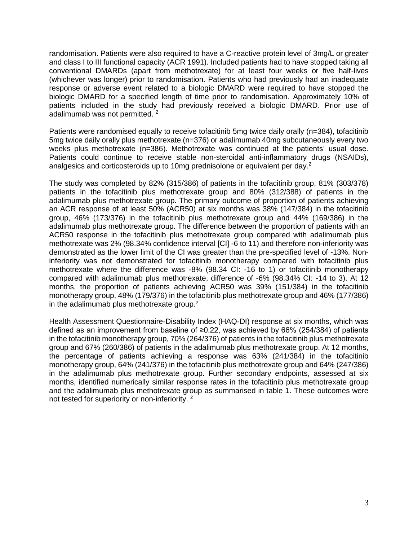randomisation. Patients were also required to have a C-reactive protein level of 3mg/L or greater and class I to III functional capacity (ACR 1991). Included patients had to have stopped taking all conventional DMARDs (apart from methotrexate) for at least four weeks or five half-lives (whichever was longer) prior to randomisation. Patients who had previously had an inadequate response or adverse event related to a biologic DMARD were required to have stopped the biologic DMARD for a specified length of time prior to randomisation. Approximately 10% of patients included in the study had previously received a biologic DMARD. Prior use of adalimumab was not permitted.<sup>2</sup>

Patients were randomised equally to receive tofacitinib 5mg twice daily orally (n=384), tofacitinib 5mg twice daily orally plus methotrexate (n=376) or adalimumab 40mg subcutaneously every two weeks plus methotrexate (n=386). Methotrexate was continued at the patients' usual dose. Patients could continue to receive stable non-steroidal anti-inflammatory drugs (NSAIDs), analgesics and corticosteroids up to 10mg prednisolone or equivalent per day.<sup>2</sup>

The study was completed by 82% (315/386) of patients in the tofacitinib group, 81% (303/378) patients in the tofacitinib plus methotrexate group and 80% (312/388) of patients in the adalimumab plus methotrexate group. The primary outcome of proportion of patients achieving an ACR response of at least 50% (ACR50) at six months was 38% (147/384) in the tofacitinib group, 46% (173/376) in the tofacitinib plus methotrexate group and 44% (169/386) in the adalimumab plus methotrexate group. The difference between the proportion of patients with an ACR50 response in the tofacitinib plus methotrexate group compared with adalimumab plus methotrexate was 2% (98.34% confidence interval [CI] -6 to 11) and therefore non-inferiority was demonstrated as the lower limit of the CI was greater than the pre-specified level of -13%. Noninferiority was not demonstrated for tofacitinib monotherapy compared with tofacitinib plus methotrexate where the difference was -8% (98.34 CI: -16 to 1) or tofacitinib monotherapy compared with adalimumab plus methotrexate, difference of -6% (98.34% CI: -14 to 3). At 12 months, the proportion of patients achieving ACR50 was 39% (151/384) in the tofacitinib monotherapy group, 48% (179/376) in the tofacitinib plus methotrexate group and 46% (177/386) in the adalimumab plus methotrexate group.<sup>2</sup>

Health Assessment Questionnaire-Disability Index (HAQ-DI) response at six months, which was defined as an improvement from baseline of ≥0.22, was achieved by 66% (254/384) of patients in the tofacitinib monotherapy group, 70% (264/376) of patients in the tofacitinib plus methotrexate group and 67% (260/386) of patients in the adalimumab plus methotrexate group. At 12 months, the percentage of patients achieving a response was 63% (241/384) in the tofacitinib monotherapy group, 64% (241/376) in the tofacitinib plus methotrexate group and 64% (247/386) in the adalimumab plus methotrexate group. Further secondary endpoints, assessed at six months, identified numerically similar response rates in the tofacitinib plus methotrexate group and the adalimumab plus methotrexate group as summarised in table 1. These outcomes were not tested for superiority or non-inferiority.<sup>2</sup>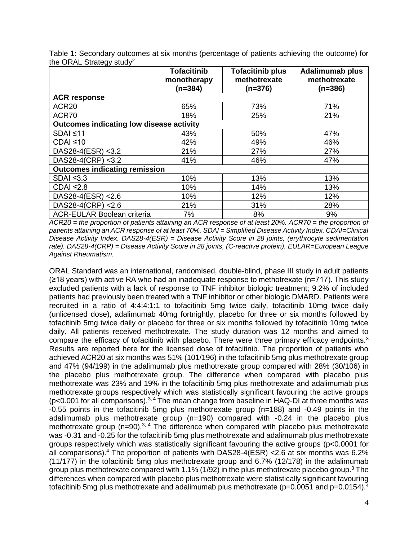| Table 1: Secondary outcomes at six months (percentage of patients achieving the outcome) for |  |  |  |
|----------------------------------------------------------------------------------------------|--|--|--|
| the ORAL Strategy study <sup>2</sup>                                                         |  |  |  |

|                                                 | <b>Tofacitinib</b><br>monotherapy<br>$(n=384)$ | <b>Tofacitinib plus</b><br>methotrexate<br>$(n=376)$ | <b>Adalimumab plus</b><br>methotrexate<br>$(n=386)$ |
|-------------------------------------------------|------------------------------------------------|------------------------------------------------------|-----------------------------------------------------|
| <b>ACR response</b>                             |                                                |                                                      |                                                     |
| ACR <sub>20</sub>                               | 65%                                            | 73%                                                  | 71%                                                 |
| ACR70                                           | 18%                                            | 25%                                                  | 21%                                                 |
| <b>Outcomes indicating low disease activity</b> |                                                |                                                      |                                                     |
| $SDAI \leq 11$                                  | 43%                                            | 50%                                                  | 47%                                                 |
| $CDAI \leq 10$                                  | 42%                                            | 49%                                                  | 46%                                                 |
| DAS28-4(ESR) <3.2                               | 21%                                            | 27%                                                  | 27%                                                 |
| DAS28-4(CRP) <3.2                               | 41%                                            | 46%                                                  | 47%                                                 |
| <b>Outcomes indicating remission</b>            |                                                |                                                      |                                                     |
| $SDAI \leq 3.3$                                 | 10%                                            | 13%                                                  | 13%                                                 |
| CDAI $\leq$ 2.8                                 | 10%                                            | 14%                                                  | 13%                                                 |
| DAS28-4(ESR) <2.6                               | 10%                                            | 12%                                                  | 12%                                                 |
| DAS28-4(CRP) <2.6                               | 21%                                            | 31%                                                  | 28%                                                 |
| <b>ACR-EULAR Boolean criteria</b>               | 7%                                             | 8%                                                   | 9%                                                  |

*ACR20 = the proportion of patients attaining an ACR response of at least 20%. ACR70 = the proportion of patients attaining an ACR response of at least 70%. SDAI = Simplified Disease Activity Index. CDAI=Clinical Disease Activity Index. DAS28-4(ESR) = Disease Activity Score in 28 joints, (erythrocyte sedimentation rate). DAS28-4(CRP) = Disease Activity Score in 28 joints, (C-reactive protein). EULAR=European League Against Rheumatism.*

ORAL Standard was an international, randomised, double-blind, phase III study in adult patients (≥18 years) with active RA who had an inadequate response to methotrexate (n=717). This study excluded patients with a lack of response to TNF inhibitor biologic treatment; 9.2% of included patients had previously been treated with a TNF inhibitor or other biologic DMARD. Patients were recruited in a ratio of 4:4:4:1:1 to tofacitinib 5mg twice daily, tofacitinib 10mg twice daily (unlicensed dose), adalimumab 40mg fortnightly, placebo for three or six months followed by tofacitinib 5mg twice daily or placebo for three or six months followed by tofacitinib 10mg twice daily. All patients received methotrexate. The study duration was 12 months and aimed to compare the efficacy of tofacitinib with placebo. There were three primary efficacy endpoints.<sup>3</sup> Results are reported here for the licensed dose of tofacitinib. The proportion of patients who achieved ACR20 at six months was 51% (101/196) in the tofacitinib 5mg plus methotrexate group and 47% (94/199) in the adalimumab plus methotrexate group compared with 28% (30/106) in the placebo plus methotrexate group. The difference when compared with placebo plus methotrexate was 23% and 19% in the tofacitinib 5mg plus methotrexate and adalimumab plus methotrexate groups respectively which was statistically significant favouring the active groups ( $p$ <0.001 for all comparisons).<sup>3, 4</sup> The mean change from baseline in HAQ-DI at three months was -0.55 points in the tofacitinib 5mg plus methotrexate group (n=188) and -0.49 points in the adalimumab plus methotrexate group (n=190) compared with -0.24 in the placebo plus methotrexate group  $(n=90)$ <sup>3, 4</sup> The difference when compared with placebo plus methotrexate was -0.31 and -0.25 for the tofacitinib 5mg plus methotrexate and adalimumab plus methotrexate groups respectively which was statistically significant favouring the active groups (p<0.0001 for all comparisons).<sup>4</sup> The proportion of patients with DAS28-4(ESR) <2.6 at six months was 6.2% (11/177) in the tofacitinib 5mg plus methotrexate group and 6.7% (12/178) in the adalimumab group plus methotrexate compared with 1.1% (1/92) in the plus methotrexate placebo group.<sup>3</sup> The differences when compared with placebo plus methotrexate were statistically significant favouring tofacitinib 5mg plus methotrexate and adalimumab plus methotrexate ( $p=0.0051$  and  $p=0.0154$ ).<sup>4</sup>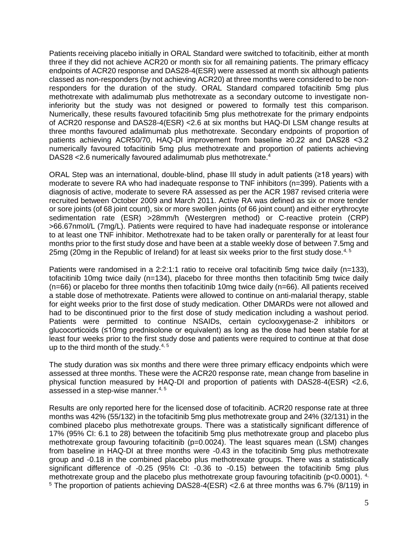Patients receiving placebo initially in ORAL Standard were switched to tofacitinib, either at month three if they did not achieve ACR20 or month six for all remaining patients. The primary efficacy endpoints of ACR20 response and DAS28-4(ESR) were assessed at month six although patients classed as non-responders (by not achieving ACR20) at three months were considered to be nonresponders for the duration of the study. ORAL Standard compared tofacitinib 5mg plus methotrexate with adalimumab plus methotrexate as a secondary outcome to investigate noninferiority but the study was not designed or powered to formally test this comparison. Numerically, these results favoured tofacitinib 5mg plus methotrexate for the primary endpoints of ACR20 response and DAS28-4(ESR) <2.6 at six months but HAQ-DI LSM change results at three months favoured adalimumab plus methotrexate. Secondary endpoints of proportion of patients achieving ACR50/70, HAQ-DI improvement from baseline ≥0.22 and DAS28 <3.2 numerically favoured tofacitinib 5mg plus methotrexate and proportion of patients achieving DAS28 < 2.6 numerically favoured adalimumab plus methotrexate.<sup>4</sup>

ORAL Step was an international, double-blind, phase III study in adult patients (≥18 years) with moderate to severe RA who had inadequate response to TNF inhibitors (n=399). Patients with a diagnosis of active, moderate to severe RA assessed as per the ACR 1987 revised criteria were recruited between October 2009 and March 2011. Active RA was defined as six or more tender or sore joints (of 68 joint count), six or more swollen joints (of 66 joint count) and either erythrocyte sedimentation rate (ESR) >28mm/h (Westergren method) or C-reactive protein (CRP) >66.67nmol/L (7mg/L). Patients were required to have had inadequate response or intolerance to at least one TNF inhibitor. Methotrexate had to be taken orally or parenterally for at least four months prior to the first study dose and have been at a stable weekly dose of between 7.5mg and 25mg (20mg in the Republic of Ireland) for at least six weeks prior to the first study dose.<sup>4, 5</sup>

Patients were randomised in a 2:2:1:1 ratio to receive oral tofacitinib 5mg twice daily (n=133), tofacitinib 10mg twice daily (n=134), placebo for three months then tofacitinib 5mg twice daily (n=66) or placebo for three months then tofacitinib 10mg twice daily (n=66). All patients received a stable dose of methotrexate. Patients were allowed to continue on anti-malarial therapy, stable for eight weeks prior to the first dose of study medication. Other DMARDs were not allowed and had to be discontinued prior to the first dose of study medication including a washout period. Patients were permitted to continue NSAIDs, certain cyclooxygenase-2 inhibitors or glucocorticoids (≤10mg prednisolone or equivalent) as long as the dose had been stable for at least four weeks prior to the first study dose and patients were required to continue at that dose up to the third month of the study. $4,5$ 

The study duration was six months and there were three primary efficacy endpoints which were assessed at three months. These were the ACR20 response rate, mean change from baseline in physical function measured by HAQ-DI and proportion of patients with DAS28-4(ESR) <2.6, assessed in a step-wise manner. $4, 5$ 

Results are only reported here for the licensed dose of tofacitinib. ACR20 response rate at three months was 42% (55/132) in the tofacitinib 5mg plus methotrexate group and 24% (32/131) in the combined placebo plus methotrexate groups. There was a statistically significant difference of 17% (95% CI: 6.1 to 28) between the tofacitinib 5mg plus methotrexate group and placebo plus methotrexate group favouring tofacitinib (p=0.0024). The least squares mean (LSM) changes from baseline in HAQ-DI at three months were -0.43 in the tofacitinib 5mg plus methotrexate group and -0.18 in the combined placebo plus methotrexate groups. There was a statistically significant difference of -0.25 (95% CI: -0.36 to -0.15) between the tofacitinib 5mg plus methotrexate group and the placebo plus methotrexate group favouring tofacitinib (p<0.0001). <sup>4,</sup> <sup>5</sup> The proportion of patients achieving DAS28-4(ESR) <2.6 at three months was 6.7% (8/119) in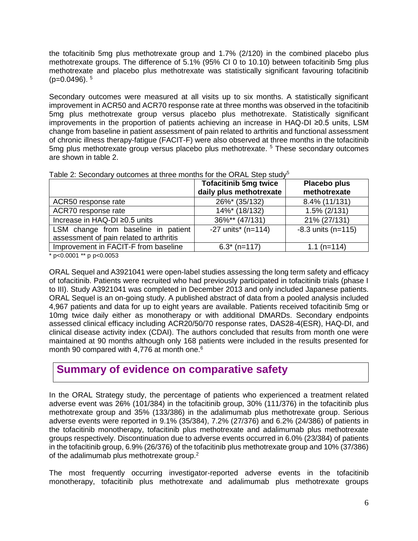the tofacitinib 5mg plus methotrexate group and 1.7% (2/120) in the combined placebo plus methotrexate groups. The difference of 5.1% (95% CI 0 to 10.10) between tofacitinib 5mg plus methotrexate and placebo plus methotrexate was statistically significant favouring tofacitinib  $(p=0.0496)$ .  $5$ 

Secondary outcomes were measured at all visits up to six months. A statistically significant improvement in ACR50 and ACR70 response rate at three months was observed in the tofacitinib 5mg plus methotrexate group versus placebo plus methotrexate. Statistically significant improvements in the proportion of patients achieving an increase in HAQ-DI ≥0.5 units, LSM change from baseline in patient assessment of pain related to arthritis and functional assessment of chronic illness therapy-fatigue (FACIT-F) were also observed at three months in the tofacitinib 5mg plus methotrexate group versus placebo plus methotrexate. <sup>5</sup> These secondary outcomes are shown in table 2.

|                                         | <b>Tofacitinib 5mg twice</b>     | Placebo plus         |
|-----------------------------------------|----------------------------------|----------------------|
|                                         | daily plus methotrexate          | methotrexate         |
| ACR50 response rate                     | 26%* (35/132)                    | 8.4% (11/131)        |
| ACR70 response rate                     | 14%* (18/132)                    | $1.5\%$ (2/131)      |
| Increase in HAQ-DI ≥0.5 units           | 36%** (47/131)                   | 21% (27/131)         |
| LSM change from baseline in patient     | $-27$ units <sup>*</sup> (n=114) | $-8.3$ units (n=115) |
| assessment of pain related to arthritis |                                  |                      |
| Improvement in FACIT-F from baseline    | $6.3^*$ (n=117)                  | $1.1$ (n=114)        |
|                                         |                                  |                      |

| Table 2: Secondary outcomes at three months for the ORAL Step study <sup>5</sup> |  |  |  |  |
|----------------------------------------------------------------------------------|--|--|--|--|
|                                                                                  |  |  |  |  |

\* p<0.0001 \*\* p p<0.0053

ORAL Sequel and A3921041 were open-label studies assessing the long term safety and efficacy of tofacitinib. Patients were recruited who had previously participated in tofacitinib trials (phase I to III). Study A3921041 was completed in December 2013 and only included Japanese patients. ORAL Sequel is an on-going study. A published abstract of data from a pooled analysis included 4,967 patients and data for up to eight years are available. Patients received tofacitinib 5mg or 10mg twice daily either as monotherapy or with additional DMARDs. Secondary endpoints assessed clinical efficacy including ACR20/50/70 response rates, DAS28-4(ESR), HAQ-DI, and clinical disease activity index (CDAI). The authors concluded that results from month one were maintained at 90 months although only 168 patients were included in the results presented for month 90 compared with 4,776 at month one. $6$ 

## **Summary of evidence on comparative safety**

In the ORAL Strategy study, the percentage of patients who experienced a treatment related adverse event was 26% (101/384) in the tofacitinib group, 30% (111/376) in the tofacitinib plus methotrexate group and 35% (133/386) in the adalimumab plus methotrexate group. Serious adverse events were reported in 9.1% (35/384), 7.2% (27/376) and 6.2% (24/386) of patients in the tofacitinib monotherapy, tofacitinib plus methotrexate and adalimumab plus methotrexate groups respectively. Discontinuation due to adverse events occurred in 6.0% (23/384) of patients in the tofacitinib group, 6.9% (26/376) of the tofacitinib plus methotrexate group and 10% (37/386) of the adalimumab plus methotrexate group.<sup>2</sup>

The most frequently occurring investigator-reported adverse events in the tofacitinib monotherapy, tofacitinib plus methotrexate and adalimumab plus methotrexate groups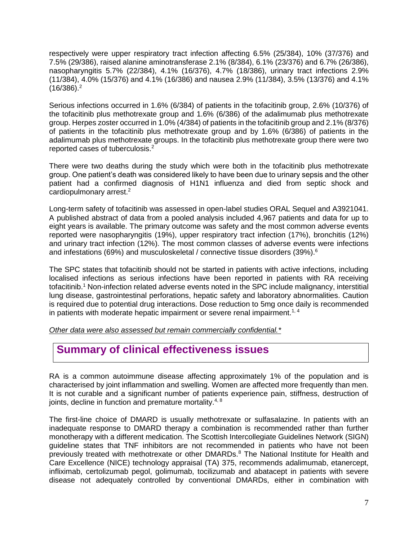respectively were upper respiratory tract infection affecting 6.5% (25/384), 10% (37/376) and 7.5% (29/386), raised alanine aminotransferase 2.1% (8/384), 6.1% (23/376) and 6.7% (26/386), nasopharyngitis 5.7% (22/384), 4.1% (16/376), 4.7% (18/386), urinary tract infections 2.9% (11/384), 4.0% (15/376) and 4.1% (16/386) and nausea 2.9% (11/384), 3.5% (13/376) and 4.1%  $(16/386).<sup>2</sup>$ 

Serious infections occurred in 1.6% (6/384) of patients in the tofacitinib group, 2.6% (10/376) of the tofacitinib plus methotrexate group and 1.6% (6/386) of the adalimumab plus methotrexate group. Herpes zoster occurred in 1.0% (4/384) of patients in the tofacitinib group and 2.1% (8/376) of patients in the tofacitinib plus methotrexate group and by 1.6% (6/386) of patients in the adalimumab plus methotrexate groups. In the tofacitinib plus methotrexate group there were two reported cases of tuberculosis.<sup>2</sup>

There were two deaths during the study which were both in the tofacitinib plus methotrexate group. One patient's death was considered likely to have been due to urinary sepsis and the other patient had a confirmed diagnosis of H1N1 influenza and died from septic shock and cardiopulmonary arrest.<sup>2</sup>

Long-term safety of tofacitinib was assessed in open-label studies ORAL Sequel and A3921041. A published abstract of data from a pooled analysis included 4,967 patients and data for up to eight years is available. The primary outcome was safety and the most common adverse events reported were nasopharyngitis (19%), upper respiratory tract infection (17%), bronchitis (12%) and urinary tract infection (12%). The most common classes of adverse events were infections and infestations (69%) and musculoskeletal / connective tissue disorders (39%).<sup>6</sup>

The SPC states that tofacitinib should not be started in patients with active infections, including localised infections as serious infections have been reported in patients with RA receiving tofacitinib.<sup>1</sup> Non-infection related adverse events noted in the SPC include malignancy, interstitial lung disease, gastrointestinal perforations, hepatic safety and laboratory abnormalities. Caution is required due to potential drug interactions. Dose reduction to 5mg once daily is recommended in patients with moderate hepatic impairment or severe renal impairment.<sup>1, 4</sup>

*Other data were also assessed but remain commercially confidential.\**

# **Summary of clinical effectiveness issues**

RA is a common autoimmune disease affecting approximately 1% of the population and is characterised by joint inflammation and swelling. Women are affected more frequently than men. It is not curable and a significant number of patients experience pain, stiffness, destruction of joints, decline in function and premature mortality.<sup>4, 8</sup>

The first-line choice of DMARD is usually methotrexate or sulfasalazine. In patients with an inadequate response to DMARD therapy a combination is recommended rather than further monotherapy with a different medication. The Scottish Intercollegiate Guidelines Network (SIGN) guideline states that TNF inhibitors are not recommended in patients who have not been previously treated with methotrexate or other DMARDs.<sup>8</sup> The National Institute for Health and Care Excellence (NICE) technology appraisal (TA) 375, recommends adalimumab, etanercept, infliximab, certolizumab pegol, golimumab, tocilizumab and abatacept in patients with severe disease not adequately controlled by conventional DMARDs, either in combination with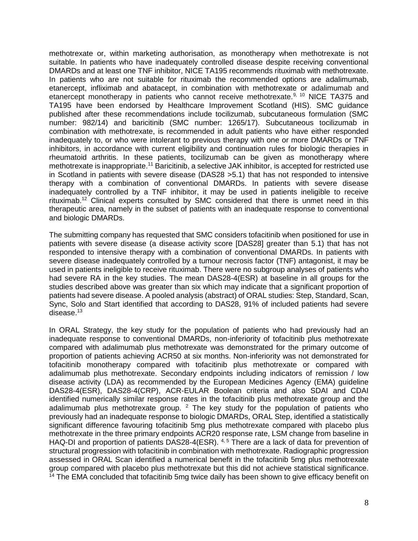methotrexate or, within marketing authorisation, as monotherapy when methotrexate is not suitable. In patients who have inadequately controlled disease despite receiving conventional DMARDs and at least one TNF inhibitor, NICE TA195 recommends rituximab with methotrexate. In patients who are not suitable for rituximab the recommended options are adalimumab, etanercept, infliximab and abatacept, in combination with methotrexate or adalimumab and etanercept monotherapy in patients who cannot receive methotrexate.<sup>9, 10</sup> NICE TA375 and TA195 have been endorsed by Healthcare Improvement Scotland (HIS). SMC guidance published after these recommendations include tocilizumab, subcutaneous formulation (SMC number: 982/14) and baricitinib (SMC number: 1265/17). Subcutaneous tocilizumab in combination with methotrexate, is recommended in adult patients who have either responded inadequately to, or who were intolerant to previous therapy with one or more DMARDs or TNF inhibitors, in accordance with current eligibility and continuation rules for biologic therapies in rheumatoid arthritis. In these patients, tocilizumab can be given as monotherapy where methotrexate is inappropriate.<sup>11</sup> Baricitinib, a selective JAK inhibitor, is accepted for restricted use in Scotland in patients with severe disease (DAS28 >5.1) that has not responded to intensive therapy with a combination of conventional DMARDs. In patients with severe disease inadequately controlled by a TNF inhibitor, it may be used in patients ineligible to receive rituximab.<sup>12</sup> Clinical experts consulted by SMC considered that there is unmet need in this therapeutic area, namely in the subset of patients with an inadequate response to conventional and biologic DMARDs.

The submitting company has requested that SMC considers tofacitinib when positioned for use in patients with severe disease (a disease activity score [DAS28] greater than 5.1) that has not responded to intensive therapy with a combination of conventional DMARDs. In patients with severe disease inadequately controlled by a tumour necrosis factor (TNF) antagonist, it may be used in patients ineligible to receive rituximab. There were no subgroup analyses of patients who had severe RA in the key studies. The mean DAS28-4(ESR) at baseline in all groups for the studies described above was greater than six which may indicate that a significant proportion of patients had severe disease. A pooled analysis (abstract) of ORAL studies: Step, Standard, Scan, Sync, Solo and Start identified that according to DAS28, 91% of included patients had severe disease.<sup>13</sup>

In ORAL Strategy, the key study for the population of patients who had previously had an inadequate response to conventional DMARDs, non-inferiority of tofacitinib plus methotrexate compared with adalimumab plus methotrexate was demonstrated for the primary outcome of proportion of patients achieving ACR50 at six months. Non-inferiority was not demonstrated for tofacitinib monotherapy compared with tofacitinib plus methotrexate or compared with adalimumab plus methotrexate. Secondary endpoints including indicators of remission / low disease activity (LDA) as recommended by the European Medicines Agency (EMA) guideline DAS28-4(ESR), DAS28-4(CRP), ACR-EULAR Boolean criteria and also SDAI and CDAI identified numerically similar response rates in the tofacitinib plus methotrexate group and the adalimumab plus methotrexate group. <sup>2</sup> The key study for the population of patients who previously had an inadequate response to biologic DMARDs, ORAL Step, identified a statistically significant difference favouring tofacitinib 5mg plus methotrexate compared with placebo plus methotrexate in the three primary endpoints ACR20 response rate, LSM change from baseline in HAQ-DI and proportion of patients DAS28-4(ESR). 4, 5 There are a lack of data for prevention of structural progression with tofacitinib in combination with methotrexate. Radiographic progression assessed in ORAL Scan identified a numerical benefit in the tofacitinib 5mg plus methotrexate group compared with placebo plus methotrexate but this did not achieve statistical significance. <sup>14</sup> The EMA concluded that tofacitinib 5mg twice daily has been shown to give efficacy benefit on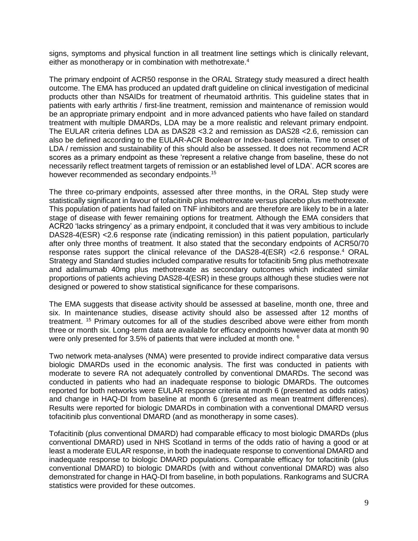signs, symptoms and physical function in all treatment line settings which is clinically relevant, either as monotherapy or in combination with methotrexate.<sup>4</sup>

The primary endpoint of ACR50 response in the ORAL Strategy study measured a direct health outcome. The EMA has produced an updated draft guideline on clinical investigation of medicinal products other than NSAIDs for treatment of rheumatoid arthritis. This guideline states that in patients with early arthritis / first-line treatment, remission and maintenance of remission would be an appropriate primary endpoint and in more advanced patients who have failed on standard treatment with multiple DMARDs, LDA may be a more realistic and relevant primary endpoint. The EULAR criteria defines LDA as DAS28 <3.2 and remission as DAS28 <2.6, remission can also be defined according to the EULAR-ACR Boolean or Index-based criteria. Time to onset of LDA / remission and sustainability of this should also be assessed. It does not recommend ACR scores as a primary endpoint as these 'represent a relative change from baseline, these do not necessarily reflect treatment targets of remission or an established level of LDA'. ACR scores are however recommended as secondary endpoints.<sup>15</sup>

The three co-primary endpoints, assessed after three months, in the ORAL Step study were statistically significant in favour of tofacitinib plus methotrexate versus placebo plus methotrexate. This population of patients had failed on TNF inhibitors and are therefore are likely to be in a later stage of disease with fewer remaining options for treatment. Although the EMA considers that ACR20 'lacks stringency' as a primary endpoint, it concluded that it was very ambitious to include DAS28-4(ESR) <2.6 response rate (indicating remission) in this patient population, particularly after only three months of treatment. It also stated that the secondary endpoints of ACR50/70 response rates support the clinical relevance of the DAS28-4(ESR) <2.6 response.<sup>4</sup> ORAL Strategy and Standard studies included comparative results for tofacitinib 5mg plus methotrexate and adalimumab 40mg plus methotrexate as secondary outcomes which indicated similar proportions of patients achieving DAS28-4(ESR) in these groups although these studies were not designed or powered to show statistical significance for these comparisons.

The EMA suggests that disease activity should be assessed at baseline, month one, three and six. In maintenance studies, disease activity should also be assessed after 12 months of treatment. <sup>15</sup> Primary outcomes for all of the studies described above were either from month three or month six. Long-term data are available for efficacy endpoints however data at month 90 were only presented for 3.5% of patients that were included at month one. <sup>6</sup>

Two network meta-analyses (NMA) were presented to provide indirect comparative data versus biologic DMARDs used in the economic analysis. The first was conducted in patients with moderate to severe RA not adequately controlled by conventional DMARDs. The second was conducted in patients who had an inadequate response to biologic DMARDs. The outcomes reported for both networks were EULAR response criteria at month 6 (presented as odds ratios) and change in HAQ-DI from baseline at month 6 (presented as mean treatment differences). Results were reported for biologic DMARDs in combination with a conventional DMARD versus tofacitinib plus conventional DMARD (and as monotherapy in some cases).

Tofacitinib (plus conventional DMARD) had comparable efficacy to most biologic DMARDs (plus conventional DMARD) used in NHS Scotland in terms of the odds ratio of having a good or at least a moderate EULAR response, in both the inadequate response to conventional DMARD and inadequate response to biologic DMARD populations. Comparable efficacy for tofacitinib (plus conventional DMARD) to biologic DMARDs (with and without conventional DMARD) was also demonstrated for change in HAQ-DI from baseline, in both populations. Rankograms and SUCRA statistics were provided for these outcomes.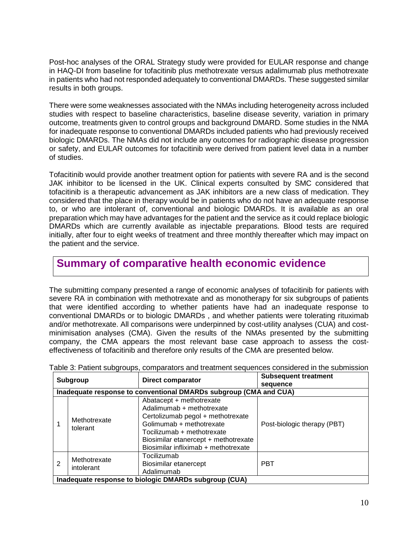Post-hoc analyses of the ORAL Strategy study were provided for EULAR response and change in HAQ-DI from baseline for tofacitinib plus methotrexate versus adalimumab plus methotrexate in patients who had not responded adequately to conventional DMARDs. These suggested similar results in both groups.

There were some weaknesses associated with the NMAs including heterogeneity across included studies with respect to baseline characteristics, baseline disease severity, variation in primary outcome, treatments given to control groups and background DMARD. Some studies in the NMA for inadequate response to conventional DMARDs included patients who had previously received biologic DMARDs. The NMAs did not include any outcomes for radiographic disease progression or safety, and EULAR outcomes for tofacitinib were derived from patient level data in a number of studies.

Tofacitinib would provide another treatment option for patients with severe RA and is the second JAK inhibitor to be licensed in the UK. Clinical experts consulted by SMC considered that tofacitinib is a therapeutic advancement as JAK inhibitors are a new class of medication. They considered that the place in therapy would be in patients who do not have an adequate response to, or who are intolerant of, conventional and biologic DMARDs. It is available as an oral preparation which may have advantages for the patient and the service as it could replace biologic DMARDs which are currently available as injectable preparations. Blood tests are required initially, after four to eight weeks of treatment and three monthly thereafter which may impact on the patient and the service.

## **Summary of comparative health economic evidence**

The submitting company presented a range of economic analyses of tofacitinib for patients with severe RA in combination with methotrexate and as monotherapy for six subgroups of patients that were identified according to whether patients have had an inadequate response to conventional DMARDs or to biologic DMARDs , and whether patients were tolerating rituximab and/or methotrexate. All comparisons were underpinned by cost-utility analyses (CUA) and costminimisation analyses (CMA). Given the results of the NMAs presented by the submitting company, the CMA appears the most relevant base case approach to assess the costeffectiveness of tofacitinib and therefore only results of the CMA are presented below.

| Subgroup |                                                                   | <b>Direct comparator</b>                                                                                                                                                                                                             | <b>Subsequent treatment</b><br>sequence |
|----------|-------------------------------------------------------------------|--------------------------------------------------------------------------------------------------------------------------------------------------------------------------------------------------------------------------------------|-----------------------------------------|
|          | Inadequate response to conventional DMARDs subgroup (CMA and CUA) |                                                                                                                                                                                                                                      |                                         |
|          | Methotrexate<br>tolerant                                          | Abatacept + methotrexate<br>Adalimumab + methotrexate<br>Certolizumab pegol + methotrexate<br>Golimumab + methotrexate<br>Tocilizumab + methotrexate<br>Biosimilar etanercept + methotrexate<br>Biosimilar infliximab + methotrexate | Post-biologic therapy (PBT)             |
| 2        | Methotrexate<br>intolerant                                        | Tocilizumab<br>Biosimilar etanercept<br>Adalimumab                                                                                                                                                                                   | <b>PBT</b>                              |
|          |                                                                   | Inadequate response to biologic DMARDs subgroup (CUA)                                                                                                                                                                                |                                         |

Table 3: Patient subgroups, comparators and treatment sequences considered in the submission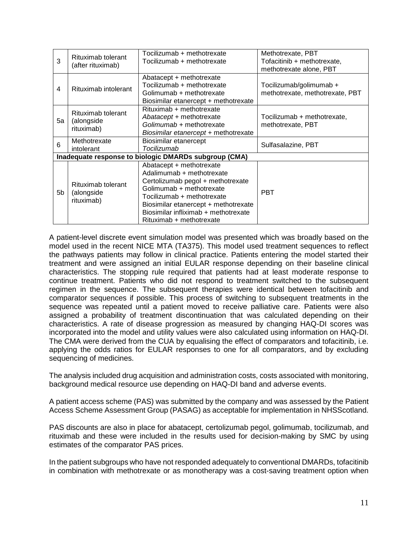| 3  | Rituximab tolerant<br>(after rituximab)        | Tocilizumab + methotrexate<br>Tocilizumab + methotrexate                                                                                                                                                                                                         | Methotrexate, PBT<br>Tofacitinib + methotrexate,<br>methotrexate alone, PBT |
|----|------------------------------------------------|------------------------------------------------------------------------------------------------------------------------------------------------------------------------------------------------------------------------------------------------------------------|-----------------------------------------------------------------------------|
| 4  | Rituximab intolerant                           | Abatacept + methotrexate<br>Tocilizumab + methotrexate<br>Golimumab + methotrexate<br>Biosimilar etanercept + methotrexate                                                                                                                                       | Tocilizumab/golimumab +<br>methotrexate, methotrexate, PBT                  |
| 5a | Rituximab tolerant<br>(alongside<br>rituximab) | Rituximab + methotrexate<br>Abatacept + methotrexate<br>Golimumab + methotrexate<br>Biosimilar etanercept + methotrexate                                                                                                                                         | Tocilizumab + methotrexate,<br>methotrexate, PBT                            |
| 6  | Methotrexate<br>intolerant                     | Biosimilar etanercept<br>Tocilizumab                                                                                                                                                                                                                             | Sulfasalazine, PBT                                                          |
|    |                                                | Inadequate response to biologic DMARDs subgroup (CMA)                                                                                                                                                                                                            |                                                                             |
| 5b | Rituximab tolerant<br>(alongside<br>rituximab) | Abatacept + methotrexate<br>Adalimumab + methotrexate<br>Certolizumab pegol + methotrexate<br>Golimumab + methotrexate<br>Tocilizumab + methotrexate<br>Biosimilar etanercept + methotrexate<br>Biosimilar infliximab + methotrexate<br>Rituximab + methotrexate | <b>PBT</b>                                                                  |

A patient-level discrete event simulation model was presented which was broadly based on the model used in the recent NICE MTA (TA375). This model used treatment sequences to reflect the pathways patients may follow in clinical practice. Patients entering the model started their treatment and were assigned an initial EULAR response depending on their baseline clinical characteristics. The stopping rule required that patients had at least moderate response to continue treatment. Patients who did not respond to treatment switched to the subsequent regimen in the sequence. The subsequent therapies were identical between tofacitinib and comparator sequences if possible. This process of switching to subsequent treatments in the sequence was repeated until a patient moved to receive palliative care. Patients were also assigned a probability of treatment discontinuation that was calculated depending on their characteristics. A rate of disease progression as measured by changing HAQ-DI scores was incorporated into the model and utility values were also calculated using information on HAQ-DI. The CMA were derived from the CUA by equalising the effect of comparators and tofacitinib, i.e. applying the odds ratios for EULAR responses to one for all comparators, and by excluding sequencing of medicines.

The analysis included drug acquisition and administration costs, costs associated with monitoring, background medical resource use depending on HAQ-DI band and adverse events.

A patient access scheme (PAS) was submitted by the company and was assessed by the Patient Access Scheme Assessment Group (PASAG) as acceptable for implementation in NHSScotland.

PAS discounts are also in place for abatacept, certolizumab pegol, golimumab, tocilizumab, and rituximab and these were included in the results used for decision-making by SMC by using estimates of the comparator PAS prices.

In the patient subgroups who have not responded adequately to conventional DMARDs, tofacitinib in combination with methotrexate or as monotherapy was a cost-saving treatment option when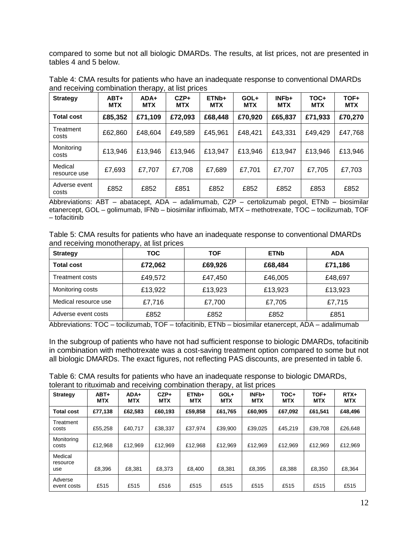compared to some but not all biologic DMARDs. The results, at list prices, not are presented in tables 4 and 5 below.

| <b>Strategy</b>         | $ABT+$<br><b>MTX</b> | $ADA+$<br><b>MTX</b> | $CZP+$<br><b>MTX</b> | ETN <sub>b+</sub><br><b>MTX</b> | GOL+<br><b>MTX</b> | INF <sub>b+</sub><br><b>MTX</b> | TOC+<br><b>MTX</b> | TOF+<br><b>MTX</b> |
|-------------------------|----------------------|----------------------|----------------------|---------------------------------|--------------------|---------------------------------|--------------------|--------------------|
| <b>Total cost</b>       | £85,352              | £71,109              | £72,093              | £68,448                         | £70,920            | £65,837                         | £71,933            | £70,270            |
| Treatment<br>costs      | £62,860              | £48,604              | £49,589              | £45,961                         | £48,421            | £43,331                         | £49,429            | £47,768            |
| Monitoring<br>costs     | £13,946              | £13,946              | £13,946              | £13,947                         | £13,946            | £13,947                         | £13,946            | £13,946            |
| Medical<br>resource use | £7,693               | £7,707               | £7,708               | £7,689                          | £7,701             | £7,707                          | £7,705             | £7,703             |
| Adverse event<br>costs  | £852                 | £852                 | £851                 | £852                            | £852               | £852                            | £853               | £852               |

Table 4: CMA results for patients who have an inadequate response to conventional DMARDs and receiving combination therapy, at list prices

Abbreviations: ABT – abatacept, ADA – adalimumab, CZP – certolizumab pegol, ETNb – biosimilar etanercept, GOL – golimumab, IFNb – biosimilar infliximab, MTX – methotrexate, TOC – tocilizumab, TOF – tofacitinib

Table 5: CMA results for patients who have an inadequate response to conventional DMARDs and receiving monotherapy, at list prices

| <b>Strategy</b>      | <b>TOC</b> | <b>TOF</b> | <b>ETNb</b> | <b>ADA</b> |
|----------------------|------------|------------|-------------|------------|
| <b>Total cost</b>    | £72,062    | £69,926    | £68,484     | £71,186    |
| Treatment costs      | £49,572    | £47,450    | £46,005     | £48,697    |
| Monitoring costs     | £13,922    | £13,923    | £13,923     | £13,923    |
| Medical resource use | £7,716     | £7,700     | £7,705      | £7,715     |
| Adverse event costs  | £852       | £852       | £852        | £851       |

Abbreviations: TOC – tocilizumab, TOF – tofacitinib, ETNb – biosimilar etanercept, ADA – adalimumab

In the subgroup of patients who have not had sufficient response to biologic DMARDs, tofacitinib in combination with methotrexate was a cost-saving treatment option compared to some but not all biologic DMARDs. The exact figures, not reflecting PAS discounts, are presented in table 6.

| Table 6: CMA results for patients who have an inadequate response to biologic DMARDs, |
|---------------------------------------------------------------------------------------|
| tolerant to rituximab and receiving combination therapy, at list prices               |

|                            |                    |                    |                      |                                 | .                  |                                 |                    |                    |                      |
|----------------------------|--------------------|--------------------|----------------------|---------------------------------|--------------------|---------------------------------|--------------------|--------------------|----------------------|
| <b>Strategy</b>            | ABT+<br><b>MTX</b> | ADA+<br><b>MTX</b> | $CZP+$<br><b>MTX</b> | ETN <sub>b+</sub><br><b>MTX</b> | GOL+<br><b>MTX</b> | INF <sub>b+</sub><br><b>MTX</b> | TOC+<br><b>MTX</b> | TOF+<br><b>MTX</b> | $RTX+$<br><b>MTX</b> |
| <b>Total cost</b>          | £77,138            | £62.583            | £60,193              | £59,858                         | £61,765            | £60,905                         | £67.092            | £61,541            | £48,496              |
| Treatment<br>costs         | £55,258            | £40.717            | £38,337              | £37.974                         | £39.900            | £39,025                         | £45.219            | £39,708            | £26,648              |
| Monitoring<br>costs        | £12.968            | £12.969            | £12.969              | £12.968                         | £12.969            | £12.969                         | £12.969            | £12.969            | £12.969              |
| Medical<br>resource<br>use | £8,396             | £8.381             | £8.373               | £8,400                          | £8,381             | £8,395                          | £8,388             | £8,350             | £8,364               |
| Adverse<br>event costs     | £515               | £515               | £516                 | £515                            | £515               | £515                            | £515               | £515               | £515                 |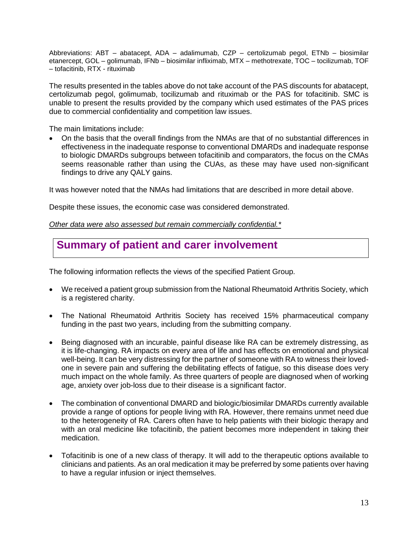Abbreviations: ABT – abatacept, ADA – adalimumab, CZP – certolizumab pegol, ETNb – biosimilar etanercept, GOL – golimumab, IFNb – biosimilar infliximab, MTX – methotrexate, TOC – tocilizumab, TOF – tofacitinib, RTX - rituximab

The results presented in the tables above do not take account of the PAS discounts for abatacept, certolizumab pegol, golimumab, tocilizumab and rituximab or the PAS for tofacitinib. SMC is unable to present the results provided by the company which used estimates of the PAS prices due to commercial confidentiality and competition law issues.

The main limitations include:

 On the basis that the overall findings from the NMAs are that of no substantial differences in effectiveness in the inadequate response to conventional DMARDs and inadequate response to biologic DMARDs subgroups between tofacitinib and comparators, the focus on the CMAs seems reasonable rather than using the CUAs, as these may have used non-significant findings to drive any QALY gains.

It was however noted that the NMAs had limitations that are described in more detail above.

Despite these issues, the economic case was considered demonstrated.

*Other data were also assessed but remain commercially confidential.\**

## **Summary of patient and carer involvement**

The following information reflects the views of the specified Patient Group.

- We received a patient group submission from the National Rheumatoid Arthritis Society, which is a registered charity.
- The National Rheumatoid Arthritis Society has received 15% pharmaceutical company funding in the past two years, including from the submitting company.
- Being diagnosed with an incurable, painful disease like RA can be extremely distressing, as it is life-changing. RA impacts on every area of life and has effects on emotional and physical well-being. It can be very distressing for the partner of someone with RA to witness their lovedone in severe pain and suffering the debilitating effects of fatigue, so this disease does very much impact on the whole family. As three quarters of people are diagnosed when of working age, anxiety over job-loss due to their disease is a significant factor.
- The combination of conventional DMARD and biologic/biosimilar DMARDs currently available provide a range of options for people living with RA. However, there remains unmet need due to the heterogeneity of RA. Carers often have to help patients with their biologic therapy and with an oral medicine like tofacitinib, the patient becomes more independent in taking their medication.
- Tofacitinib is one of a new class of therapy. It will add to the therapeutic options available to clinicians and patients. As an oral medication it may be preferred by some patients over having to have a regular infusion or inject themselves.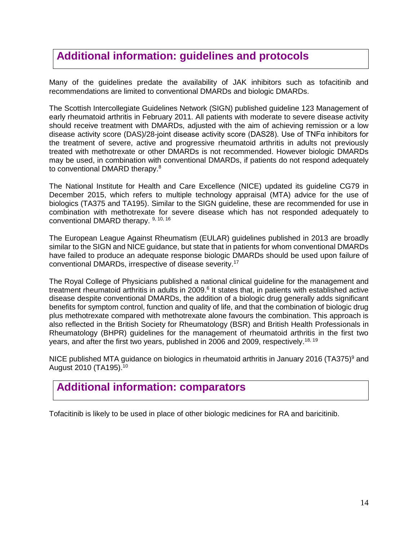# **Additional information: guidelines and protocols**

Many of the guidelines predate the availability of JAK inhibitors such as tofacitinib and recommendations are limited to conventional DMARDs and biologic DMARDs.

The Scottish Intercollegiate Guidelines Network (SIGN) published guideline 123 Management of early rheumatoid arthritis in February 2011. All patients with moderate to severe disease activity should receive treatment with DMARDs, adjusted with the aim of achieving remission or a low disease activity score (DAS)/28-joint disease activity score (DAS28). Use of TNFα inhibitors for the treatment of severe, active and progressive rheumatoid arthritis in adults not previously treated with methotrexate or other DMARDs is not recommended. However biologic DMARDs may be used, in combination with conventional DMARDs, if patients do not respond adequately to conventional DMARD therapy.<sup>8</sup>

The National Institute for Health and Care Excellence (NICE) updated its guideline CG79 in December 2015, which refers to multiple technology appraisal (MTA) advice for the use of biologics (TA375 and TA195). Similar to the SIGN guideline, these are recommended for use in combination with methotrexate for severe disease which has not responded adequately to conventional DMARD therapy. 9, 10, 16

The European League Against Rheumatism (EULAR) guidelines published in 2013 are broadly similar to the SIGN and NICE guidance, but state that in patients for whom conventional DMARDs have failed to produce an adequate response biologic DMARDs should be used upon failure of conventional DMARDs, irrespective of disease severity. 17

The Royal College of Physicians published a national clinical guideline for the management and treatment rheumatoid arthritis in adults in 2009.<sup>6</sup> It states that, in patients with established active disease despite conventional DMARDs, the addition of a biologic drug generally adds significant benefits for symptom control, function and quality of life, and that the combination of biologic drug plus methotrexate compared with methotrexate alone favours the combination. This approach is also reflected in the British Society for Rheumatology (BSR) and British Health Professionals in Rheumatology (BHPR) guidelines for the management of rheumatoid arthritis in the first two years, and after the first two years, published in 2006 and 2009, respectively.<sup>18, 19</sup>

NICE published MTA guidance on biologics in rheumatoid arthritis in January 2016 (TA375)<sup>9</sup> and August 2010 (TA195). 10

## **Additional information: comparators**

Tofacitinib is likely to be used in place of other biologic medicines for RA and baricitinib.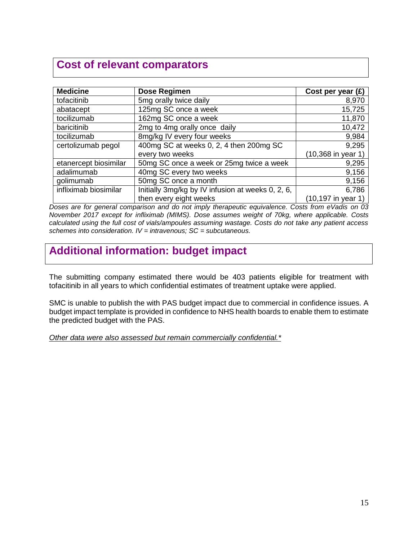# **Cost of relevant comparators**

| <b>Medicine</b>       | Dose Regimen                                      | Cost per year $(E)$   |
|-----------------------|---------------------------------------------------|-----------------------|
| tofacitinib           | 5mg orally twice daily                            | 8,970                 |
| abatacept             | 125mg SC once a week                              | 15,725                |
| tocilizumab           | 162mg SC once a week                              | 11,870                |
| baricitinib           | 2mg to 4mg orally once daily                      | 10,472                |
| tocilizumab           | 8mg/kg IV every four weeks                        | 9,984                 |
| certolizumab pegol    | 400mg SC at weeks 0, 2, 4 then 200mg SC           | 9,295                 |
|                       | every two weeks                                   | (10,368 in year 1)    |
| etanercept biosimilar | 50mg SC once a week or 25mg twice a week          | 9,295                 |
| adalimumab            | 40mg SC every two weeks                           | 9,156                 |
| golimumab             | 50mg SC once a month                              | 9,156                 |
| infliximab biosimilar | Initially 3mg/kg by IV infusion at weeks 0, 2, 6, | 6,786                 |
|                       | then every eight weeks                            | $(10, 197$ in year 1) |

*Doses are for general comparison and do not imply therapeutic equivalence. Costs from eVadis on 03 November 2017 except for infliximab (MIMS). Dose assumes weight of 70kg, where applicable. Costs calculated using the full cost of vials/ampoules assuming wastage. Costs do not take any patient access schemes into consideration. IV = intravenous; SC = subcutaneous.*

# **Additional information: budget impact**

The submitting company estimated there would be 403 patients eligible for treatment with tofacitinib in all years to which confidential estimates of treatment uptake were applied.

SMC is unable to publish the with PAS budget impact due to commercial in confidence issues. A budget impact template is provided in confidence to NHS health boards to enable them to estimate the predicted budget with the PAS.

*Other data were also assessed but remain commercially confidential.\**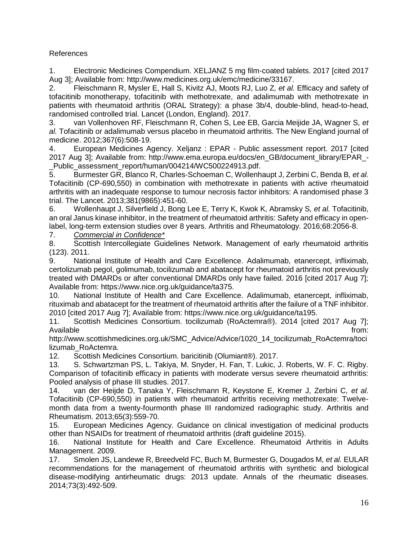#### References

1. Electronic Medicines Compendium. XELJANZ 5 mg film-coated tablets. 2017 [cited 2017 Aug 3]; Available from: http://www.medicines.org.uk/emc/medicine/33167.

2. Fleischmann R, Mysler E, Hall S, Kivitz AJ, Moots RJ, Luo Z*, et al.* Efficacy and safety of tofacitinib monotherapy, tofacitinib with methotrexate, and adalimumab with methotrexate in patients with rheumatoid arthritis (ORAL Strategy): a phase 3b/4, double-blind, head-to-head, randomised controlled trial. Lancet (London, England). 2017.

3. van Vollenhoven RF, Fleischmann R, Cohen S, Lee EB, Garcia Meijide JA, Wagner S*, et al.* Tofacitinib or adalimumab versus placebo in rheumatoid arthritis. The New England journal of medicine. 2012;367(6):508-19.

4. European Medicines Agency. Xeljanz : EPAR - Public assessment report. 2017 [cited 2017 Aug 3]; Available from: http://www.ema.europa.eu/docs/en\_GB/document\_library/EPAR\_- Public assessment report/human/004214/WC500224913.pdf.

5. Burmester GR, Blanco R, Charles-Schoeman C, Wollenhaupt J, Zerbini C, Benda B*, et al.* Tofacitinib (CP-690,550) in combination with methotrexate in patients with active rheumatoid arthritis with an inadequate response to tumour necrosis factor inhibitors: A randomised phase 3 trial. The Lancet. 2013;381(9865):451-60.

6. Wollenhaupt J, Silverfield J, Bong Lee E, Terry K, Kwok K, Abramsky S*, et al.* Tofacitinib, an oral Janus kinase inhibitor, in the treatment of rheumatoid arthritis: Safety and efficacy in openlabel, long-term extension studies over 8 years. Arthritis and Rheumatology. 2016;68:2056-8.

7. *Commercial in Confidence\**

8. Scottish Intercollegiate Guidelines Network. Management of early rheumatoid arthritis (123). 2011.

9. National Institute of Health and Care Excellence. Adalimumab, etanercept, infliximab, certolizumab pegol, golimumab, tocilizumab and abatacept for rheumatoid arthritis not previously treated with DMARDs or after conventional DMARDs only have failed. 2016 [cited 2017 Aug 7]; Available from: https://www.nice.org.uk/guidance/ta375.

10. National Institute of Health and Care Excellence. Adalimumab, etanercept, infliximab, rituximab and abatacept for the treatment of rheumatoid arthritis after the failure of a TNF inhibitor. 2010 [cited 2017 Aug 7]; Available from: https://www.nice.org.uk/guidance/ta195.

11. Scottish Medicines Consortium. tocilizumab (RoActemra®). 2014 [cited 2017 Aug 7]; Available from: the state of the state of the state of the state of the state of the state of the state of the state of the state of the state of the state of the state of the state of the state of the state of the state o

http://www.scottishmedicines.org.uk/SMC\_Advice/Advice/1020\_14\_tocilizumab\_RoActemra/toci lizumab\_RoActemra.

12. Scottish Medicines Consortium. baricitinib (Olumiant®). 2017.

13. S. Schwartzman PS, L. Takiya, M. Snyder, H. Fan, T. Lukic, J. Roberts, W. F. C. Rigby. Comparison of tofacitinib efficacy in patients with moderate versus severe rheumatoid arthritis: Pooled analysis of phase III studies. 2017.

14. van der Heijde D, Tanaka Y, Fleischmann R, Keystone E, Kremer J, Zerbini C*, et al.* Tofacitinib (CP-690,550) in patients with rheumatoid arthritis receiving methotrexate: Twelvemonth data from a twenty-fourmonth phase III randomized radiographic study. Arthritis and Rheumatism. 2013;65(3):559-70.

15. European Medicines Agency. Guidance on clinical investigation of medicinal products other than NSAIDs for treatment of rheumatoid arthritis (draft guideline 2015).

16. National Institute for Health and Care Excellence. Rheumatoid Arthritis in Adults Management. 2009.

17. Smolen JS, Landewe R, Breedveld FC, Buch M, Burmester G, Dougados M*, et al.* EULAR recommendations for the management of rheumatoid arthritis with synthetic and biological disease-modifying antirheumatic drugs: 2013 update. Annals of the rheumatic diseases. 2014;73(3):492-509.